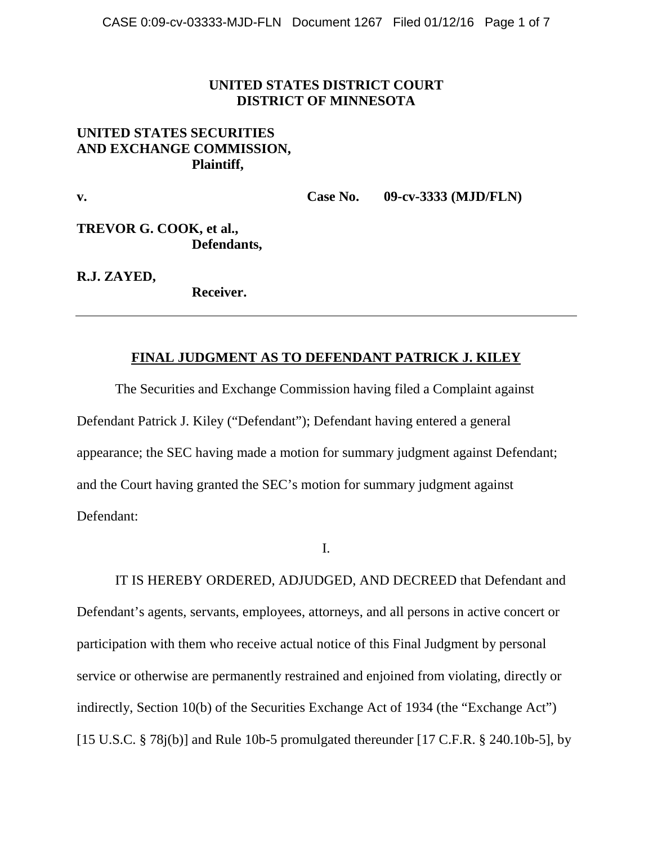## **UNITED STATES DISTRICT COURT DISTRICT OF MINNESOTA**

# **UNITED STATES SECURITIES AND EXCHANGE COMMISSION, Plaintiff,**

**v. Case No. 09-cv-3333 (MJD/FLN)**

**TREVOR G. COOK, et al., Defendants,**

**R.J. ZAYED,**

**Receiver.** 

# **FINAL JUDGMENT AS TO DEFENDANT PATRICK J. KILEY**

The Securities and Exchange Commission having filed a Complaint against Defendant Patrick J. Kiley ("Defendant"); Defendant having entered a general appearance; the SEC having made a motion for summary judgment against Defendant; and the Court having granted the SEC's motion for summary judgment against Defendant:

I.

IT IS HEREBY ORDERED, ADJUDGED, AND DECREED that Defendant and Defendant's agents, servants, employees, attorneys, and all persons in active concert or participation with them who receive actual notice of this Final Judgment by personal service or otherwise are permanently restrained and enjoined from violating, directly or indirectly, Section 10(b) of the Securities Exchange Act of 1934 (the "Exchange Act") [15 U.S.C.  $\S$  78j(b)] and Rule 10b-5 promulgated thereunder [17 C.F.R.  $\S$  240.10b-5], by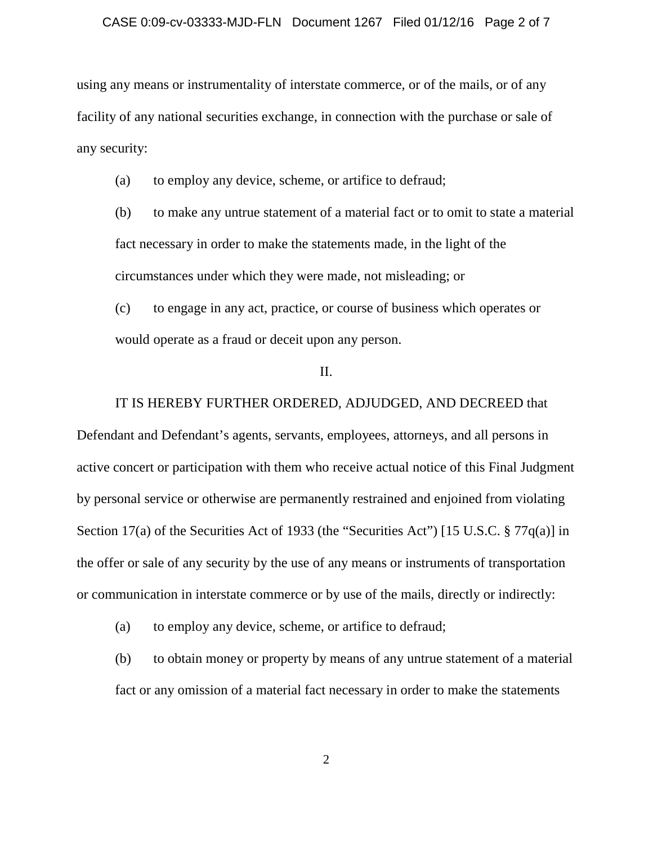#### CASE 0:09-cv-03333-MJD-FLN Document 1267 Filed 01/12/16 Page 2 of 7

using any means or instrumentality of interstate commerce, or of the mails, or of any facility of any national securities exchange, in connection with the purchase or sale of any security:

(a) to employ any device, scheme, or artifice to defraud;

(b) to make any untrue statement of a material fact or to omit to state a material fact necessary in order to make the statements made, in the light of the circumstances under which they were made, not misleading; or

(c) to engage in any act, practice, or course of business which operates or would operate as a fraud or deceit upon any person.

## II.

#### IT IS HEREBY FURTHER ORDERED, ADJUDGED, AND DECREED that

Defendant and Defendant's agents, servants, employees, attorneys, and all persons in active concert or participation with them who receive actual notice of this Final Judgment by personal service or otherwise are permanently restrained and enjoined from violating Section 17(a) of the Securities Act of 1933 (the "Securities Act") [15 U.S.C. § 77q(a)] in the offer or sale of any security by the use of any means or instruments of transportation or communication in interstate commerce or by use of the mails, directly or indirectly:

(a) to employ any device, scheme, or artifice to defraud;

(b) to obtain money or property by means of any untrue statement of a material fact or any omission of a material fact necessary in order to make the statements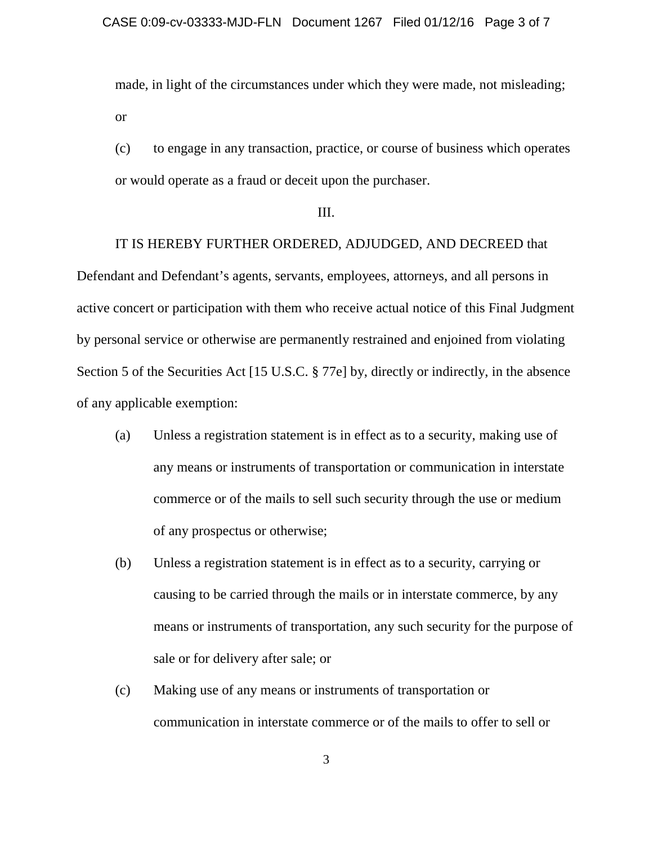made, in light of the circumstances under which they were made, not misleading; or

(c) to engage in any transaction, practice, or course of business which operates or would operate as a fraud or deceit upon the purchaser.

#### III.

IT IS HEREBY FURTHER ORDERED, ADJUDGED, AND DECREED that Defendant and Defendant's agents, servants, employees, attorneys, and all persons in active concert or participation with them who receive actual notice of this Final Judgment by personal service or otherwise are permanently restrained and enjoined from violating Section 5 of the Securities Act [15 U.S.C. § 77e] by, directly or indirectly, in the absence of any applicable exemption:

- (a) Unless a registration statement is in effect as to a security, making use of any means or instruments of transportation or communication in interstate commerce or of the mails to sell such security through the use or medium of any prospectus or otherwise;
- (b) Unless a registration statement is in effect as to a security, carrying or causing to be carried through the mails or in interstate commerce, by any means or instruments of transportation, any such security for the purpose of sale or for delivery after sale; or
- (c) Making use of any means or instruments of transportation or communication in interstate commerce or of the mails to offer to sell or

3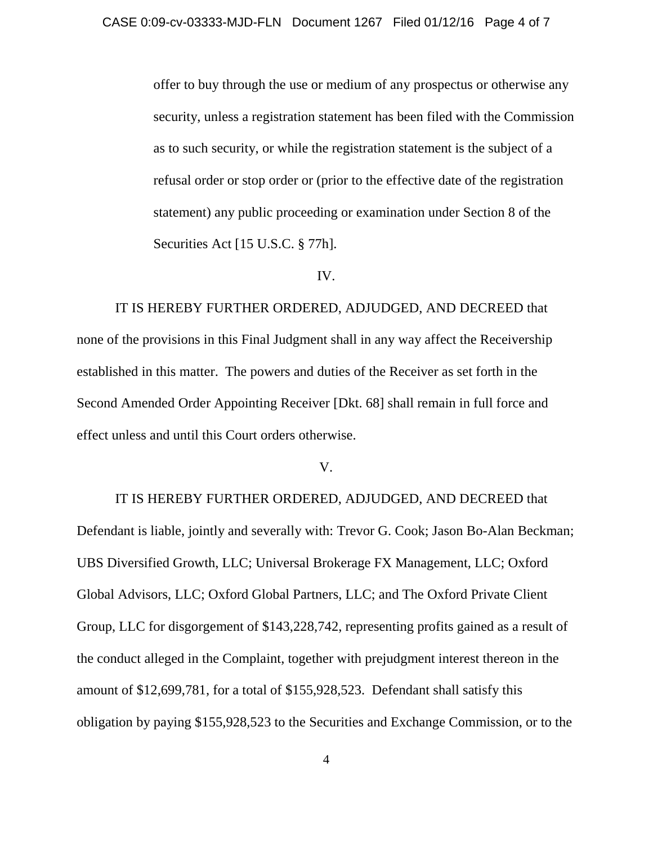offer to buy through the use or medium of any prospectus or otherwise any security, unless a registration statement has been filed with the Commission as to such security, or while the registration statement is the subject of a refusal order or stop order or (prior to the effective date of the registration statement) any public proceeding or examination under Section 8 of the Securities Act [15 U.S.C. § 77h].

### IV.

IT IS HEREBY FURTHER ORDERED, ADJUDGED, AND DECREED that none of the provisions in this Final Judgment shall in any way affect the Receivership established in this matter. The powers and duties of the Receiver as set forth in the Second Amended Order Appointing Receiver [Dkt. 68] shall remain in full force and effect unless and until this Court orders otherwise.

### V.

IT IS HEREBY FURTHER ORDERED, ADJUDGED, AND DECREED that Defendant is liable, jointly and severally with: Trevor G. Cook; Jason Bo-Alan Beckman; UBS Diversified Growth, LLC; Universal Brokerage FX Management, LLC; Oxford Global Advisors, LLC; Oxford Global Partners, LLC; and The Oxford Private Client Group, LLC for disgorgement of \$143,228,742, representing profits gained as a result of the conduct alleged in the Complaint, together with prejudgment interest thereon in the amount of \$12,699,781, for a total of \$155,928,523. Defendant shall satisfy this obligation by paying \$155,928,523 to the Securities and Exchange Commission, or to the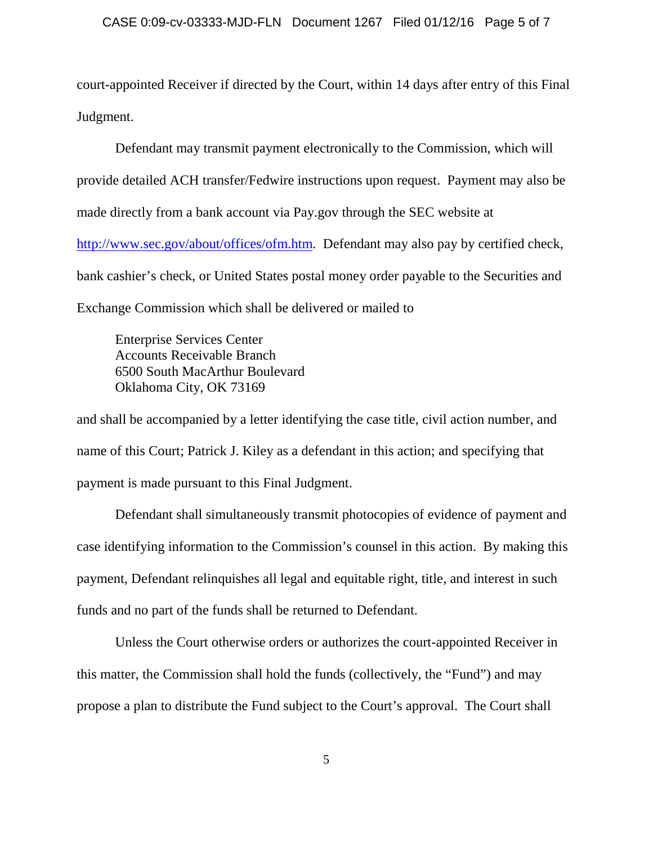court-appointed Receiver if directed by the Court, within 14 days after entry of this Final Judgment.

Defendant may transmit payment electronically to the Commission, which will provide detailed ACH transfer/Fedwire instructions upon request. Payment may also be made directly from a bank account via Pay.gov through the SEC website at [http://www.sec.gov/about/offices/ofm.htm.](http://www.sec.gov/about/offices/ofm.htm) Defendant may also pay by certified check, bank cashier's check, or United States postal money order payable to the Securities and Exchange Commission which shall be delivered or mailed to

Enterprise Services Center Accounts Receivable Branch 6500 South MacArthur Boulevard Oklahoma City, OK 73169

and shall be accompanied by a letter identifying the case title, civil action number, and name of this Court; Patrick J. Kiley as a defendant in this action; and specifying that payment is made pursuant to this Final Judgment.

Defendant shall simultaneously transmit photocopies of evidence of payment and case identifying information to the Commission's counsel in this action. By making this payment, Defendant relinquishes all legal and equitable right, title, and interest in such funds and no part of the funds shall be returned to Defendant.

Unless the Court otherwise orders or authorizes the court-appointed Receiver in this matter, the Commission shall hold the funds (collectively, the "Fund") and may propose a plan to distribute the Fund subject to the Court's approval. The Court shall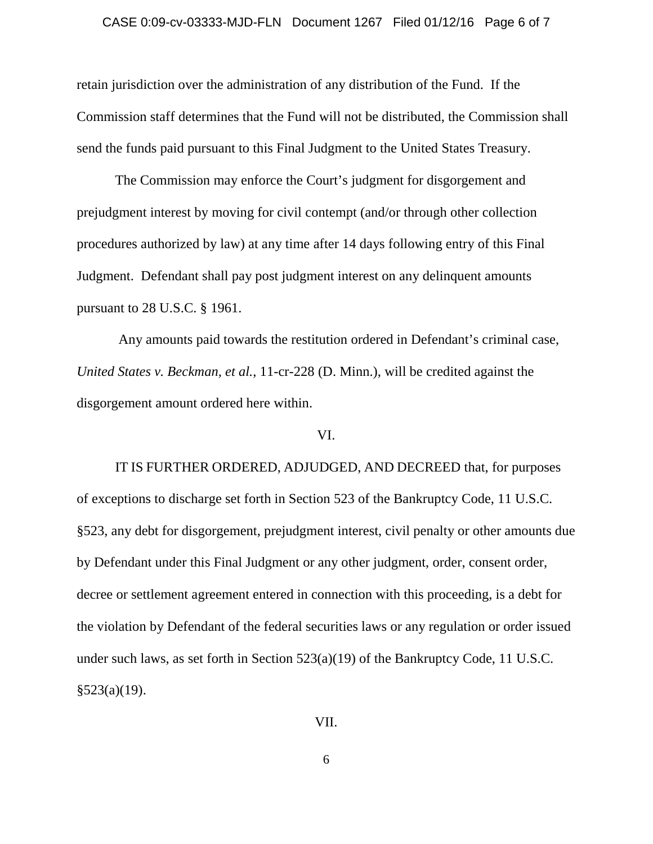#### CASE 0:09-cv-03333-MJD-FLN Document 1267 Filed 01/12/16 Page 6 of 7

retain jurisdiction over the administration of any distribution of the Fund. If the Commission staff determines that the Fund will not be distributed, the Commission shall send the funds paid pursuant to this Final Judgment to the United States Treasury.

The Commission may enforce the Court's judgment for disgorgement and prejudgment interest by moving for civil contempt (and/or through other collection procedures authorized by law) at any time after 14 days following entry of this Final Judgment. Defendant shall pay post judgment interest on any delinquent amounts pursuant to 28 U.S.C. § 1961.

Any amounts paid towards the restitution ordered in Defendant's criminal case, *United States v. Beckman, et al.*, 11-cr-228 (D. Minn.), will be credited against the disgorgement amount ordered here within.

#### VI.

IT IS FURTHER ORDERED, ADJUDGED, AND DECREED that, for purposes of exceptions to discharge set forth in Section 523 of the Bankruptcy Code, 11 U.S.C. §523, any debt for disgorgement, prejudgment interest, civil penalty or other amounts due by Defendant under this Final Judgment or any other judgment, order, consent order, decree or settlement agreement entered in connection with this proceeding, is a debt for the violation by Defendant of the federal securities laws or any regulation or order issued under such laws, as set forth in Section 523(a)(19) of the Bankruptcy Code, 11 U.S.C.  $§523(a)(19)$ .

VII.

6